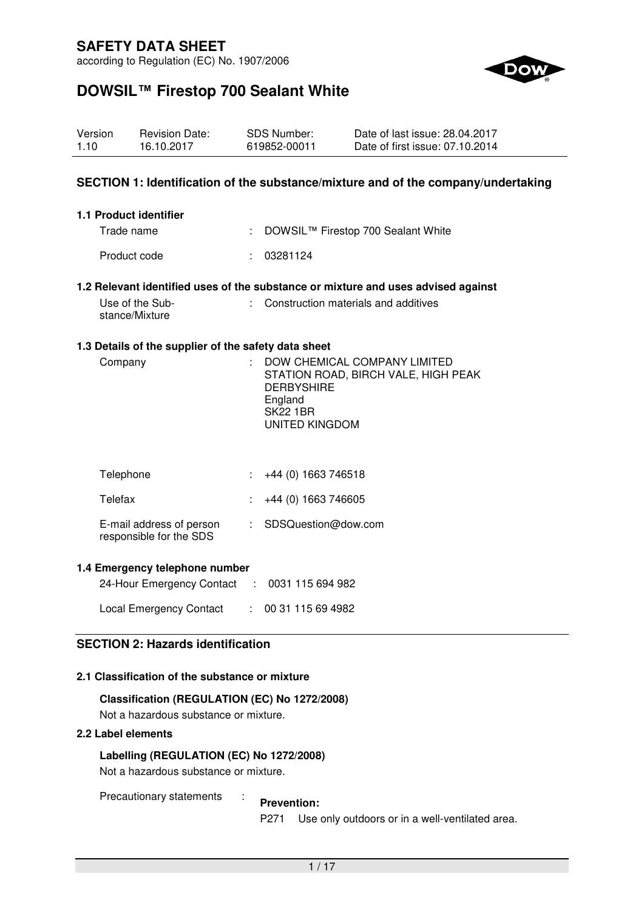according to Regulation (EC) No. 1907/2006



# **DOWSIL™ Firestop 700 Sealant White**

| Version | <b>Revision Date:</b> | SDS Number:  | Date of last issue: 28.04.2017  |
|---------|-----------------------|--------------|---------------------------------|
| 1.10    | 16.10.2017            | 619852-00011 | Date of first issue: 07.10.2014 |

### **SECTION 1: Identification of the substance/mixture and of the company/undertaking**

| 1.1 Product identifier |                                      |
|------------------------|--------------------------------------|
| Trade name             | : DOWSIL™ Firestop 700 Sealant White |
| Product code           | : 03281124                           |

#### **1.2 Relevant identified uses of the substance or mixture and uses advised against**

| Use of the Sub- | : Construction materials and additives |
|-----------------|----------------------------------------|
| stance/Mixture  |                                        |

#### **1.3 Details of the supplier of the safety data sheet**

| Company | DOW CHEMICAL COMPANY LIMITED<br>STATION ROAD, BIRCH VALE, HIGH PEAK |
|---------|---------------------------------------------------------------------|
|         | <b>DERBYSHIRE</b>                                                   |
|         | England                                                             |
|         | <b>SK22 1BR</b>                                                     |
|         | UNITED KINGDOM                                                      |
|         |                                                                     |

| Telephone                                           | $\div$ +44 (0) 1663 746518       |
|-----------------------------------------------------|----------------------------------|
| Telefax                                             | $\div$ +44 (0) 1663 746605       |
| E-mail address of person<br>responsible for the SDS | $\therefore$ SDSQuestion@dow.com |

#### **1.4 Emergency telephone number**

| 24-Hour Emergency Contact : 0031 115 694 982 |                 |
|----------------------------------------------|-----------------|
| <b>Local Emergency Contact</b>               | : 0031115694982 |

### **SECTION 2: Hazards identification**

### **2.1 Classification of the substance or mixture**

### **Classification (REGULATION (EC) No 1272/2008)**

Not a hazardous substance or mixture.

### **2.2 Label elements**

### **Labelling (REGULATION (EC) No 1272/2008)**

Not a hazardous substance or mixture.

Precautionary statements : **Prevention:** 

P271 Use only outdoors or in a well-ventilated area.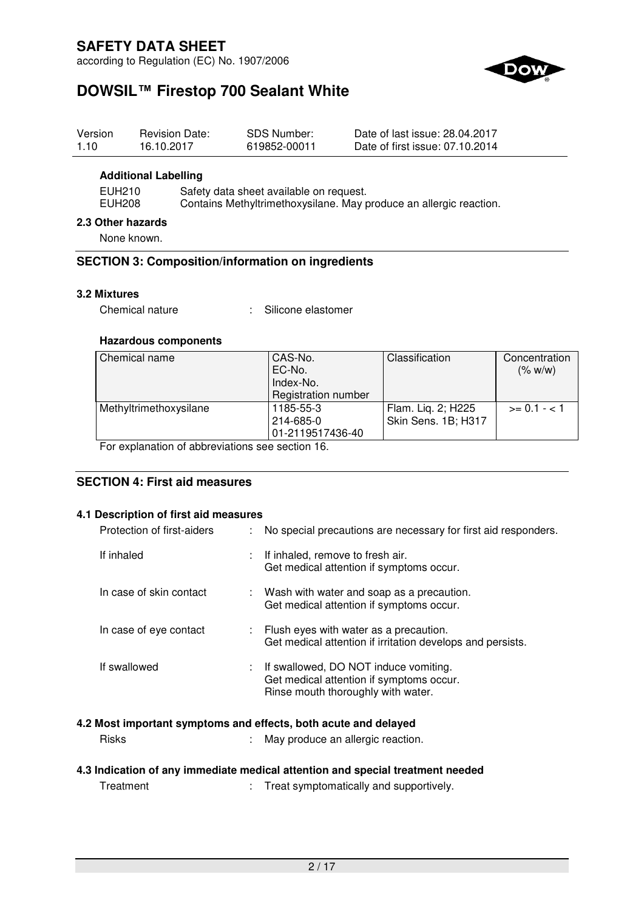according to Regulation (EC) No. 1907/2006



# **DOWSIL™ Firestop 700 Sealant White**

| Version<br>1.10                  | <b>Revision Date:</b><br>16.10.2017 | <b>SDS Number:</b><br>619852-00011      | Date of last issue: 28.04.2017<br>Date of first issue: 07.10.2014  |  |
|----------------------------------|-------------------------------------|-----------------------------------------|--------------------------------------------------------------------|--|
|                                  | <b>Additional Labelling</b>         |                                         |                                                                    |  |
| EUH210<br><b>EUH208</b>          |                                     | Safety data sheet available on request. | Contains Methyltrimethoxysilane. May produce an allergic reaction. |  |
| 2.3 Other hazards<br>None known. |                                     |                                         |                                                                    |  |

## **SECTION 3: Composition/information on ingredients**

### **3.2 Mixtures**

Chemical nature : Silicone elastomer

### **Hazardous components**

| Chemical name          | CAS-No.             | Classification      | Concentration  |
|------------------------|---------------------|---------------------|----------------|
|                        | EC-No.              |                     | (% w/w)        |
|                        | Index-No.           |                     |                |
|                        | Registration number |                     |                |
| Methyltrimethoxysilane | 1185-55-3           | Flam. Lig. 2; H225  | $>= 0.1 - < 1$ |
|                        | 214-685-0           | Skin Sens. 1B; H317 |                |
|                        | 01-2119517436-40    |                     |                |

For explanation of abbreviations see section 16.

## **SECTION 4: First aid measures**

#### **4.1 Description of first aid measures**

| Protection of first-aiders                                                     |  | : No special precautions are necessary for first aid responders.                                                          |  |  |
|--------------------------------------------------------------------------------|--|---------------------------------------------------------------------------------------------------------------------------|--|--|
| If inhaled                                                                     |  | : If inhaled, remove to fresh air.<br>Get medical attention if symptoms occur.                                            |  |  |
| In case of skin contact                                                        |  | : Wash with water and soap as a precaution.<br>Get medical attention if symptoms occur.                                   |  |  |
| In case of eye contact                                                         |  | : Flush eyes with water as a precaution.<br>Get medical attention if irritation develops and persists.                    |  |  |
| If swallowed                                                                   |  | : If swallowed, DO NOT induce vomiting.<br>Get medical attention if symptoms occur.<br>Rinse mouth thoroughly with water. |  |  |
| 4.2 Most important symptoms and effects, both acute and delayed                |  |                                                                                                                           |  |  |
| <b>Risks</b>                                                                   |  | May produce an allergic reaction.                                                                                         |  |  |
| 4.3 Indication of any immediate medical attention and special treatment needed |  |                                                                                                                           |  |  |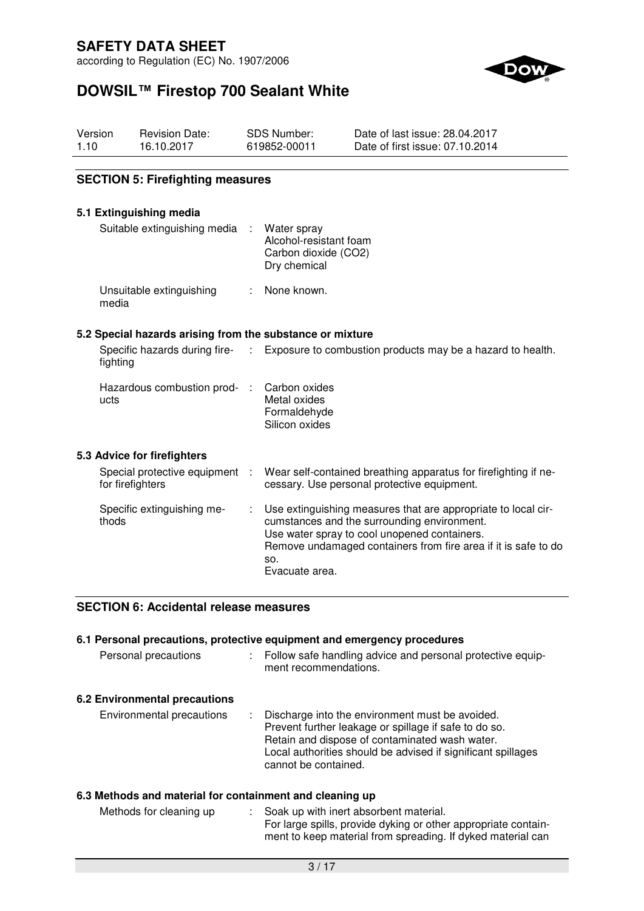according to Regulation (EC) No. 1907/2006



# **DOWSIL™ Firestop 700 Sealant White**

| Version | <b>Revision Date:</b> | SDS Number:  | Date of last issue: 28.04.2017  |
|---------|-----------------------|--------------|---------------------------------|
| 1.10    | 16.10.2017            | 619852-00011 | Date of first issue: 07.10.2014 |

### **SECTION 5: Firefighting measures**

#### **5.1 Extinguishing media**

**5.3 Advice for firefighters** 

| Suitable extinguishing media : Water spray | Alcohol-resistant foam<br>Carbon dioxide (CO2)<br>Dry chemical |
|--------------------------------------------|----------------------------------------------------------------|
| Unsuitable extinguishing<br>media          | : None known.                                                  |

#### **5.2 Special hazards arising from the substance or mixture**

| Specific hazards during fire-<br>fighting          | Exposure to combustion products may be a hazard to health.                                                     |
|----------------------------------------------------|----------------------------------------------------------------------------------------------------------------|
| Hazardous combustion prod-<br>ucts                 | Carbon oxides<br>Metal oxides<br>Formaldehyde<br>Silicon oxides                                                |
| <b>Advice for firefighters</b>                     |                                                                                                                |
| Special protective equipment :<br>for firefighters | Wear self-contained breathing apparatus for firefighting if ne-<br>cessary. Use personal protective equipment. |

| Specific extinguishing me-<br>thods | : Use extinguishing measures that are appropriate to local cir-<br>cumstances and the surrounding environment.<br>Use water spray to cool unopened containers.<br>Remove undamaged containers from fire area if it is safe to do<br>so.<br>Evacuate area. |
|-------------------------------------|-----------------------------------------------------------------------------------------------------------------------------------------------------------------------------------------------------------------------------------------------------------|
|-------------------------------------|-----------------------------------------------------------------------------------------------------------------------------------------------------------------------------------------------------------------------------------------------------------|

### **SECTION 6: Accidental release measures**

## **6.1 Personal precautions, protective equipment and emergency procedures**

| Personal precautions | : Follow safe handling advice and personal protective equip-<br>ment recommendations. |
|----------------------|---------------------------------------------------------------------------------------|
|                      |                                                                                       |

## **6.2 Environmental precautions**

Environmental precautions : Discharge into the environment must be avoided. Prevent further leakage or spillage if safe to do so. Retain and dispose of contaminated wash water. Local authorities should be advised if significant spillages cannot be contained.

### **6.3 Methods and material for containment and cleaning up**

| Methods for cleaning up | : Soak up with inert absorbent material.                       |
|-------------------------|----------------------------------------------------------------|
|                         | For large spills, provide dyking or other appropriate contain- |
|                         | ment to keep material from spreading. If dyked material can    |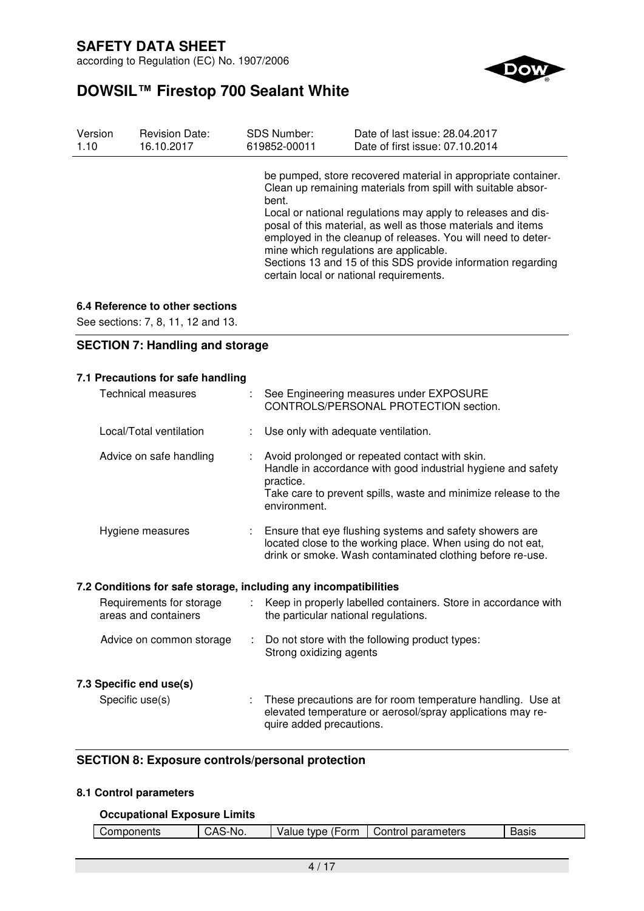according to Regulation (EC) No. 1907/2006



# **DOWSIL™ Firestop 700 Sealant White**

| Version | <b>Revision Date:</b> | <b>SDS Number:</b> | Date of last issue: 28.04.2017                                                                                                                                                                                                                                                                                                                                                                                                                                                     |
|---------|-----------------------|--------------------|------------------------------------------------------------------------------------------------------------------------------------------------------------------------------------------------------------------------------------------------------------------------------------------------------------------------------------------------------------------------------------------------------------------------------------------------------------------------------------|
| 1.10    | 16.10.2017            | 619852-00011       | Date of first issue: 07.10.2014                                                                                                                                                                                                                                                                                                                                                                                                                                                    |
|         |                       | bent.              | be pumped, store recovered material in appropriate container.<br>Clean up remaining materials from spill with suitable absor-<br>Local or national regulations may apply to releases and dis-<br>posal of this material, as well as those materials and items<br>employed in the cleanup of releases. You will need to deter-<br>mine which regulations are applicable.<br>Sections 13 and 15 of this SDS provide information regarding<br>certain local or national requirements. |

### **6.4 Reference to other sections**

See sections: 7, 8, 11, 12 and 13.

### **SECTION 7: Handling and storage**

### **7.1 Precautions for safe handling**

| <b>Technical measures</b>                                        |                  | : See Engineering measures under EXPOSURE<br>CONTROLS/PERSONAL PROTECTION section.                                                                                                                            |
|------------------------------------------------------------------|------------------|---------------------------------------------------------------------------------------------------------------------------------------------------------------------------------------------------------------|
| Local/Total ventilation                                          |                  | Use only with adequate ventilation.                                                                                                                                                                           |
| Advice on safe handling                                          |                  | Avoid prolonged or repeated contact with skin.<br>Handle in accordance with good industrial hygiene and safety<br>practice.<br>Take care to prevent spills, waste and minimize release to the<br>environment. |
| Hygiene measures                                                 |                  | Ensure that eye flushing systems and safety showers are<br>located close to the working place. When using do not eat,<br>drink or smoke. Wash contaminated clothing before re-use.                            |
| 7.2 Conditions for safe storage, including any incompatibilities |                  |                                                                                                                                                                                                               |
| Requirements for storage<br>areas and containers                 | $\mathbb{Z}^n$ . | Keep in properly labelled containers. Store in accordance with<br>the particular national regulations.                                                                                                        |
| Advice on common storage                                         |                  | Do not store with the following product types:<br>Strong oxidizing agents                                                                                                                                     |
| 7.3 Specific end use(s)                                          |                  |                                                                                                                                                                                                               |
| Specific use(s)                                                  |                  | These precautions are for room temperature handling. Use at<br>elevated temperature or aerosol/spray applications may re-<br>quire added precautions.                                                         |

### **SECTION 8: Exposure controls/personal protection**

### **8.1 Control parameters**

### **Occupational Exposure Limits**

| $\mathbf{r}$<br>parameters<br>∙orm<br>No.<br>$-0.0100$<br>omnonante<br>ROCK<br>$\sim$ $\sim$<br>,ontro<br>tvpe<br>$\mathbf{v}$<br>ponents<br>alue<br>υαδιε |  |
|------------------------------------------------------------------------------------------------------------------------------------------------------------|--|
|------------------------------------------------------------------------------------------------------------------------------------------------------------|--|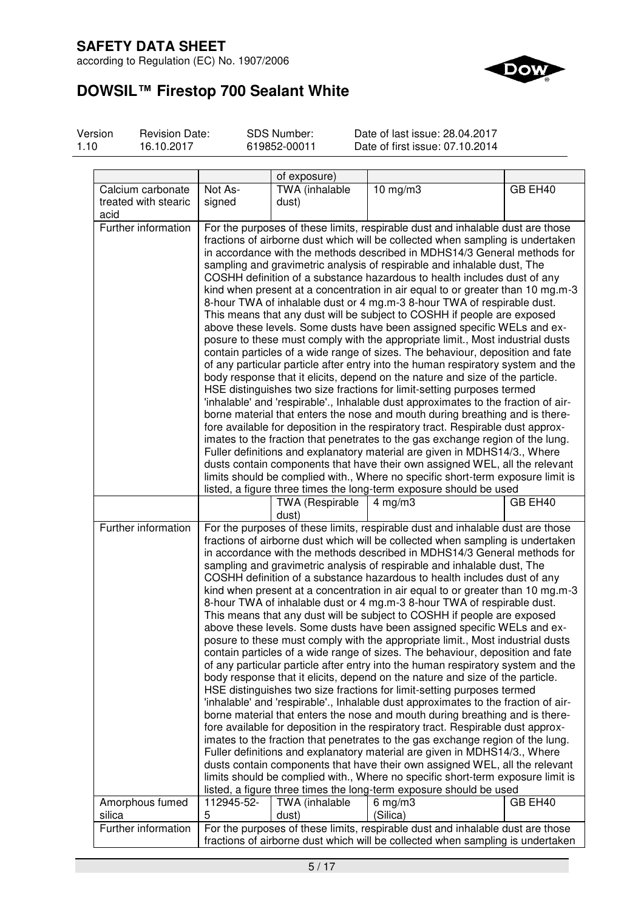according to Regulation (EC) No. 1907/2006



# **DOWSIL™ Firestop 700 Sealant White**

Version 1.10

Revision Date: 16.10.2017

SDS Number: 619852-00011

Date of last issue: 28.04.2017 Date of first issue: 07.10.2014

|                                           |                                                                                                                                                                                                                                                                                                                                                                                                                                                                                                                                                                                                                                                                                                                                                                                                                                                                                                                                                                                                                                                                                                                                                                                                                                                                                                                                                                                                                                                                                                                                                                                                                                                                                                                                                                                                           | of exposure)                    |                                                                                                                                                                                                                                                                                                                                                                                                                                                                                                                                                                                                                                                                                                                                                                                                                                                                                                                                                                                                                                                                                                                                                                                                                                                                                                                                                                                                                                                                                                                                                                                                                                                                                                                                                                                                           |         |
|-------------------------------------------|-----------------------------------------------------------------------------------------------------------------------------------------------------------------------------------------------------------------------------------------------------------------------------------------------------------------------------------------------------------------------------------------------------------------------------------------------------------------------------------------------------------------------------------------------------------------------------------------------------------------------------------------------------------------------------------------------------------------------------------------------------------------------------------------------------------------------------------------------------------------------------------------------------------------------------------------------------------------------------------------------------------------------------------------------------------------------------------------------------------------------------------------------------------------------------------------------------------------------------------------------------------------------------------------------------------------------------------------------------------------------------------------------------------------------------------------------------------------------------------------------------------------------------------------------------------------------------------------------------------------------------------------------------------------------------------------------------------------------------------------------------------------------------------------------------------|---------------------------------|-----------------------------------------------------------------------------------------------------------------------------------------------------------------------------------------------------------------------------------------------------------------------------------------------------------------------------------------------------------------------------------------------------------------------------------------------------------------------------------------------------------------------------------------------------------------------------------------------------------------------------------------------------------------------------------------------------------------------------------------------------------------------------------------------------------------------------------------------------------------------------------------------------------------------------------------------------------------------------------------------------------------------------------------------------------------------------------------------------------------------------------------------------------------------------------------------------------------------------------------------------------------------------------------------------------------------------------------------------------------------------------------------------------------------------------------------------------------------------------------------------------------------------------------------------------------------------------------------------------------------------------------------------------------------------------------------------------------------------------------------------------------------------------------------------------|---------|
| Calcium carbonate<br>treated with stearic | Not As-<br>signed                                                                                                                                                                                                                                                                                                                                                                                                                                                                                                                                                                                                                                                                                                                                                                                                                                                                                                                                                                                                                                                                                                                                                                                                                                                                                                                                                                                                                                                                                                                                                                                                                                                                                                                                                                                         | TWA (inhalable<br>dust)         | $10$ mg/m $3$                                                                                                                                                                                                                                                                                                                                                                                                                                                                                                                                                                                                                                                                                                                                                                                                                                                                                                                                                                                                                                                                                                                                                                                                                                                                                                                                                                                                                                                                                                                                                                                                                                                                                                                                                                                             | GB EH40 |
| acid<br>Further information               |                                                                                                                                                                                                                                                                                                                                                                                                                                                                                                                                                                                                                                                                                                                                                                                                                                                                                                                                                                                                                                                                                                                                                                                                                                                                                                                                                                                                                                                                                                                                                                                                                                                                                                                                                                                                           |                                 |                                                                                                                                                                                                                                                                                                                                                                                                                                                                                                                                                                                                                                                                                                                                                                                                                                                                                                                                                                                                                                                                                                                                                                                                                                                                                                                                                                                                                                                                                                                                                                                                                                                                                                                                                                                                           |         |
|                                           | For the purposes of these limits, respirable dust and inhalable dust are those<br>fractions of airborne dust which will be collected when sampling is undertaken<br>in accordance with the methods described in MDHS14/3 General methods for<br>sampling and gravimetric analysis of respirable and inhalable dust, The<br>COSHH definition of a substance hazardous to health includes dust of any<br>kind when present at a concentration in air equal to or greater than 10 mg.m-3<br>8-hour TWA of inhalable dust or 4 mg.m-3 8-hour TWA of respirable dust.<br>This means that any dust will be subject to COSHH if people are exposed<br>above these levels. Some dusts have been assigned specific WELs and ex-<br>posure to these must comply with the appropriate limit., Most industrial dusts<br>contain particles of a wide range of sizes. The behaviour, deposition and fate<br>of any particular particle after entry into the human respiratory system and the<br>body response that it elicits, depend on the nature and size of the particle.<br>HSE distinguishes two size fractions for limit-setting purposes termed<br>'inhalable' and 'respirable'., Inhalable dust approximates to the fraction of air-<br>borne material that enters the nose and mouth during breathing and is there-<br>fore available for deposition in the respiratory tract. Respirable dust approx-<br>imates to the fraction that penetrates to the gas exchange region of the lung.<br>Fuller definitions and explanatory material are given in MDHS14/3., Where<br>dusts contain components that have their own assigned WEL, all the relevant<br>limits should be complied with., Where no specific short-term exposure limit is<br>listed, a figure three times the long-term exposure should be used |                                 |                                                                                                                                                                                                                                                                                                                                                                                                                                                                                                                                                                                                                                                                                                                                                                                                                                                                                                                                                                                                                                                                                                                                                                                                                                                                                                                                                                                                                                                                                                                                                                                                                                                                                                                                                                                                           |         |
|                                           |                                                                                                                                                                                                                                                                                                                                                                                                                                                                                                                                                                                                                                                                                                                                                                                                                                                                                                                                                                                                                                                                                                                                                                                                                                                                                                                                                                                                                                                                                                                                                                                                                                                                                                                                                                                                           | <b>TWA (Respirable</b><br>dust) | $4$ mg/m $3$                                                                                                                                                                                                                                                                                                                                                                                                                                                                                                                                                                                                                                                                                                                                                                                                                                                                                                                                                                                                                                                                                                                                                                                                                                                                                                                                                                                                                                                                                                                                                                                                                                                                                                                                                                                              | GB EH40 |
| Further information                       |                                                                                                                                                                                                                                                                                                                                                                                                                                                                                                                                                                                                                                                                                                                                                                                                                                                                                                                                                                                                                                                                                                                                                                                                                                                                                                                                                                                                                                                                                                                                                                                                                                                                                                                                                                                                           |                                 | For the purposes of these limits, respirable dust and inhalable dust are those<br>fractions of airborne dust which will be collected when sampling is undertaken<br>in accordance with the methods described in MDHS14/3 General methods for<br>sampling and gravimetric analysis of respirable and inhalable dust, The<br>COSHH definition of a substance hazardous to health includes dust of any<br>kind when present at a concentration in air equal to or greater than 10 mg.m-3<br>8-hour TWA of inhalable dust or 4 mg.m-3 8-hour TWA of respirable dust.<br>This means that any dust will be subject to COSHH if people are exposed<br>above these levels. Some dusts have been assigned specific WELs and ex-<br>posure to these must comply with the appropriate limit., Most industrial dusts<br>contain particles of a wide range of sizes. The behaviour, deposition and fate<br>of any particular particle after entry into the human respiratory system and the<br>body response that it elicits, depend on the nature and size of the particle.<br>HSE distinguishes two size fractions for limit-setting purposes termed<br>'inhalable' and 'respirable'., Inhalable dust approximates to the fraction of air-<br>borne material that enters the nose and mouth during breathing and is there-<br>fore available for deposition in the respiratory tract. Respirable dust approx-<br>imates to the fraction that penetrates to the gas exchange region of the lung.<br>Fuller definitions and explanatory material are given in MDHS14/3., Where<br>dusts contain components that have their own assigned WEL, all the relevant<br>limits should be complied with., Where no specific short-term exposure limit is<br>listed, a figure three times the long-term exposure should be used |         |
| Amorphous fumed<br>silica                 | 112945-52-<br>5                                                                                                                                                                                                                                                                                                                                                                                                                                                                                                                                                                                                                                                                                                                                                                                                                                                                                                                                                                                                                                                                                                                                                                                                                                                                                                                                                                                                                                                                                                                                                                                                                                                                                                                                                                                           | TWA (inhalable<br>dust)         | $6$ mg/m $3$<br>(Silica)                                                                                                                                                                                                                                                                                                                                                                                                                                                                                                                                                                                                                                                                                                                                                                                                                                                                                                                                                                                                                                                                                                                                                                                                                                                                                                                                                                                                                                                                                                                                                                                                                                                                                                                                                                                  | GB EH40 |
| Further information                       | For the purposes of these limits, respirable dust and inhalable dust are those<br>fractions of airborne dust which will be collected when sampling is undertaken                                                                                                                                                                                                                                                                                                                                                                                                                                                                                                                                                                                                                                                                                                                                                                                                                                                                                                                                                                                                                                                                                                                                                                                                                                                                                                                                                                                                                                                                                                                                                                                                                                          |                                 |                                                                                                                                                                                                                                                                                                                                                                                                                                                                                                                                                                                                                                                                                                                                                                                                                                                                                                                                                                                                                                                                                                                                                                                                                                                                                                                                                                                                                                                                                                                                                                                                                                                                                                                                                                                                           |         |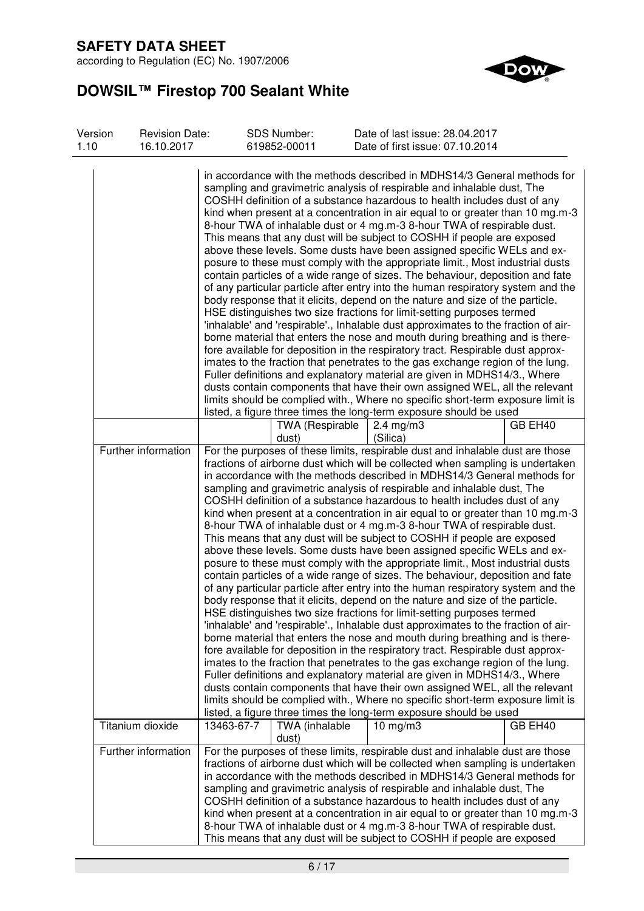according to Regulation (EC) No. 1907/2006



# **DOWSIL™ Firestop 700 Sealant White**

| Version<br>1.10 | <b>Revision Date:</b><br>16.10.2017 |            | <b>SDS Number:</b><br>619852-00011 | Date of last issue: 28.04.2017<br>Date of first issue: 07.10.2014                                                                                                                                                                                                                                                                                                                                                                                                                                                                                                                                                                                                                                                                                                                                                                                                                                                                                                                                                                                                                                                                                                                                                                                                                                                                                                                                                                                                                                                                                                                                                                                                                                                                                                                                         |         |
|-----------------|-------------------------------------|------------|------------------------------------|-----------------------------------------------------------------------------------------------------------------------------------------------------------------------------------------------------------------------------------------------------------------------------------------------------------------------------------------------------------------------------------------------------------------------------------------------------------------------------------------------------------------------------------------------------------------------------------------------------------------------------------------------------------------------------------------------------------------------------------------------------------------------------------------------------------------------------------------------------------------------------------------------------------------------------------------------------------------------------------------------------------------------------------------------------------------------------------------------------------------------------------------------------------------------------------------------------------------------------------------------------------------------------------------------------------------------------------------------------------------------------------------------------------------------------------------------------------------------------------------------------------------------------------------------------------------------------------------------------------------------------------------------------------------------------------------------------------------------------------------------------------------------------------------------------------|---------|
|                 |                                     |            |                                    | in accordance with the methods described in MDHS14/3 General methods for<br>sampling and gravimetric analysis of respirable and inhalable dust, The<br>COSHH definition of a substance hazardous to health includes dust of any<br>kind when present at a concentration in air equal to or greater than 10 mg.m-3<br>8-hour TWA of inhalable dust or 4 mg.m-3 8-hour TWA of respirable dust.<br>This means that any dust will be subject to COSHH if people are exposed<br>above these levels. Some dusts have been assigned specific WELs and ex-<br>posure to these must comply with the appropriate limit., Most industrial dusts<br>contain particles of a wide range of sizes. The behaviour, deposition and fate<br>of any particular particle after entry into the human respiratory system and the<br>body response that it elicits, depend on the nature and size of the particle.<br>HSE distinguishes two size fractions for limit-setting purposes termed<br>'inhalable' and 'respirable'., Inhalable dust approximates to the fraction of air-<br>borne material that enters the nose and mouth during breathing and is there-<br>fore available for deposition in the respiratory tract. Respirable dust approx-<br>imates to the fraction that penetrates to the gas exchange region of the lung.<br>Fuller definitions and explanatory material are given in MDHS14/3., Where<br>dusts contain components that have their own assigned WEL, all the relevant<br>limits should be complied with., Where no specific short-term exposure limit is<br>listed, a figure three times the long-term exposure should be used                                                                                                                                                                     |         |
|                 |                                     |            | TWA (Respirable<br>dust)           | $2.4 \text{ mg/m}$ 3<br>(Silica)                                                                                                                                                                                                                                                                                                                                                                                                                                                                                                                                                                                                                                                                                                                                                                                                                                                                                                                                                                                                                                                                                                                                                                                                                                                                                                                                                                                                                                                                                                                                                                                                                                                                                                                                                                          | GB EH40 |
|                 | Further information                 |            |                                    | For the purposes of these limits, respirable dust and inhalable dust are those<br>fractions of airborne dust which will be collected when sampling is undertaken<br>in accordance with the methods described in MDHS14/3 General methods for<br>sampling and gravimetric analysis of respirable and inhalable dust, The<br>COSHH definition of a substance hazardous to health includes dust of any<br>kind when present at a concentration in air equal to or greater than 10 mg.m-3<br>8-hour TWA of inhalable dust or 4 mg.m-3 8-hour TWA of respirable dust.<br>This means that any dust will be subject to COSHH if people are exposed<br>above these levels. Some dusts have been assigned specific WELs and ex-<br>posure to these must comply with the appropriate limit., Most industrial dusts<br>contain particles of a wide range of sizes. The behaviour, deposition and fate<br>of any particular particle after entry into the human respiratory system and the<br>body response that it elicits, depend on the nature and size of the particle.<br>HSE distinguishes two size fractions for limit-setting purposes termed<br>'inhalable' and 'respirable'., Inhalable dust approximates to the fraction of air-<br>borne material that enters the nose and mouth during breathing and is there-<br>fore available for deposition in the respiratory tract. Respirable dust approx-<br>imates to the fraction that penetrates to the gas exchange region of the lung.<br>Fuller definitions and explanatory material are given in MDHS14/3., Where<br>dusts contain components that have their own assigned WEL, all the relevant<br>limits should be complied with., Where no specific short-term exposure limit is<br>listed, a figure three times the long-term exposure should be used |         |
|                 | Titanium dioxide                    | 13463-67-7 | TWA (inhalable<br>dust)            | 10 mg/m $\overline{3}$                                                                                                                                                                                                                                                                                                                                                                                                                                                                                                                                                                                                                                                                                                                                                                                                                                                                                                                                                                                                                                                                                                                                                                                                                                                                                                                                                                                                                                                                                                                                                                                                                                                                                                                                                                                    | GB EH40 |
|                 | Further information                 |            |                                    | For the purposes of these limits, respirable dust and inhalable dust are those<br>fractions of airborne dust which will be collected when sampling is undertaken<br>in accordance with the methods described in MDHS14/3 General methods for<br>sampling and gravimetric analysis of respirable and inhalable dust, The<br>COSHH definition of a substance hazardous to health includes dust of any<br>kind when present at a concentration in air equal to or greater than 10 mg.m-3<br>8-hour TWA of inhalable dust or 4 mg.m-3 8-hour TWA of respirable dust.<br>This means that any dust will be subject to COSHH if people are exposed                                                                                                                                                                                                                                                                                                                                                                                                                                                                                                                                                                                                                                                                                                                                                                                                                                                                                                                                                                                                                                                                                                                                                               |         |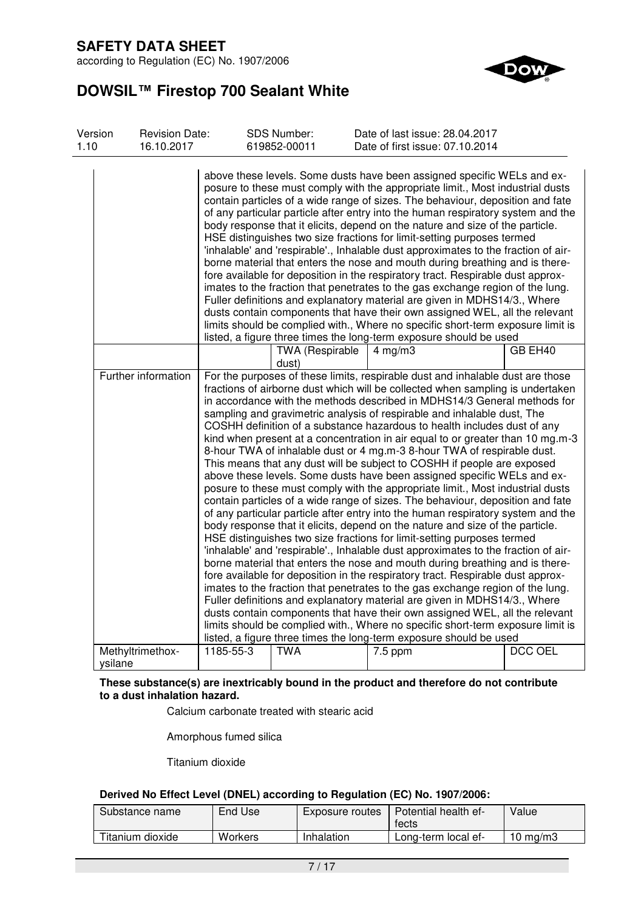according to Regulation (EC) No. 1907/2006



# **DOWSIL™ Firestop 700 Sealant White**

| Version<br>1.10 | <b>Revision Date:</b><br>16.10.2017 |           | <b>SDS Number:</b><br>619852-00011 | Date of last issue: 28.04.2017<br>Date of first issue: 07.10.2014                                                                                                                                                                                                                                                                                                                                                                                                                                                                                                                                                                                                                                                                                                                                                                                                                                                                                                                                                                                                                                                                                                                                                                                                                                                                                                                                                                                                                                                                                                                                                                                                                                                                                                                                         |                |
|-----------------|-------------------------------------|-----------|------------------------------------|-----------------------------------------------------------------------------------------------------------------------------------------------------------------------------------------------------------------------------------------------------------------------------------------------------------------------------------------------------------------------------------------------------------------------------------------------------------------------------------------------------------------------------------------------------------------------------------------------------------------------------------------------------------------------------------------------------------------------------------------------------------------------------------------------------------------------------------------------------------------------------------------------------------------------------------------------------------------------------------------------------------------------------------------------------------------------------------------------------------------------------------------------------------------------------------------------------------------------------------------------------------------------------------------------------------------------------------------------------------------------------------------------------------------------------------------------------------------------------------------------------------------------------------------------------------------------------------------------------------------------------------------------------------------------------------------------------------------------------------------------------------------------------------------------------------|----------------|
|                 |                                     |           |                                    | above these levels. Some dusts have been assigned specific WELs and ex-<br>posure to these must comply with the appropriate limit., Most industrial dusts<br>contain particles of a wide range of sizes. The behaviour, deposition and fate<br>of any particular particle after entry into the human respiratory system and the<br>body response that it elicits, depend on the nature and size of the particle.<br>HSE distinguishes two size fractions for limit-setting purposes termed<br>'inhalable' and 'respirable'., Inhalable dust approximates to the fraction of air-<br>borne material that enters the nose and mouth during breathing and is there-<br>fore available for deposition in the respiratory tract. Respirable dust approx-<br>imates to the fraction that penetrates to the gas exchange region of the lung.<br>Fuller definitions and explanatory material are given in MDHS14/3., Where<br>dusts contain components that have their own assigned WEL, all the relevant<br>limits should be complied with., Where no specific short-term exposure limit is<br>listed, a figure three times the long-term exposure should be used                                                                                                                                                                                                                                                                                                                                                                                                                                                                                                                                                                                                                                                |                |
|                 |                                     |           | TWA (Respirable<br>dust)           | $4$ mg/m $3$                                                                                                                                                                                                                                                                                                                                                                                                                                                                                                                                                                                                                                                                                                                                                                                                                                                                                                                                                                                                                                                                                                                                                                                                                                                                                                                                                                                                                                                                                                                                                                                                                                                                                                                                                                                              | GB EH40        |
|                 | Further information                 |           |                                    | For the purposes of these limits, respirable dust and inhalable dust are those<br>fractions of airborne dust which will be collected when sampling is undertaken<br>in accordance with the methods described in MDHS14/3 General methods for<br>sampling and gravimetric analysis of respirable and inhalable dust, The<br>COSHH definition of a substance hazardous to health includes dust of any<br>kind when present at a concentration in air equal to or greater than 10 mg.m-3<br>8-hour TWA of inhalable dust or 4 mg.m-3 8-hour TWA of respirable dust.<br>This means that any dust will be subject to COSHH if people are exposed<br>above these levels. Some dusts have been assigned specific WELs and ex-<br>posure to these must comply with the appropriate limit., Most industrial dusts<br>contain particles of a wide range of sizes. The behaviour, deposition and fate<br>of any particular particle after entry into the human respiratory system and the<br>body response that it elicits, depend on the nature and size of the particle.<br>HSE distinguishes two size fractions for limit-setting purposes termed<br>'inhalable' and 'respirable'., Inhalable dust approximates to the fraction of air-<br>borne material that enters the nose and mouth during breathing and is there-<br>fore available for deposition in the respiratory tract. Respirable dust approx-<br>imates to the fraction that penetrates to the gas exchange region of the lung.<br>Fuller definitions and explanatory material are given in MDHS14/3., Where<br>dusts contain components that have their own assigned WEL, all the relevant<br>limits should be complied with., Where no specific short-term exposure limit is<br>listed, a figure three times the long-term exposure should be used |                |
|                 | Methyltrimethox-<br>ysilane         | 1185-55-3 | <b>TWA</b>                         | 7.5 ppm                                                                                                                                                                                                                                                                                                                                                                                                                                                                                                                                                                                                                                                                                                                                                                                                                                                                                                                                                                                                                                                                                                                                                                                                                                                                                                                                                                                                                                                                                                                                                                                                                                                                                                                                                                                                   | <b>DCC OEL</b> |

### **These substance(s) are inextricably bound in the product and therefore do not contribute to a dust inhalation hazard.**

Calcium carbonate treated with stearic acid

Amorphous fumed silica

Titanium dioxide

### **Derived No Effect Level (DNEL) according to Regulation (EC) No. 1907/2006:**

| Substance name   | End Use | Exposure routes | <b>Potential health ef-</b><br>fects | Value             |
|------------------|---------|-----------------|--------------------------------------|-------------------|
| Titanium dioxide | Workers | Inhalation      | Long-term local ef-                  | $10 \text{ mg/m}$ |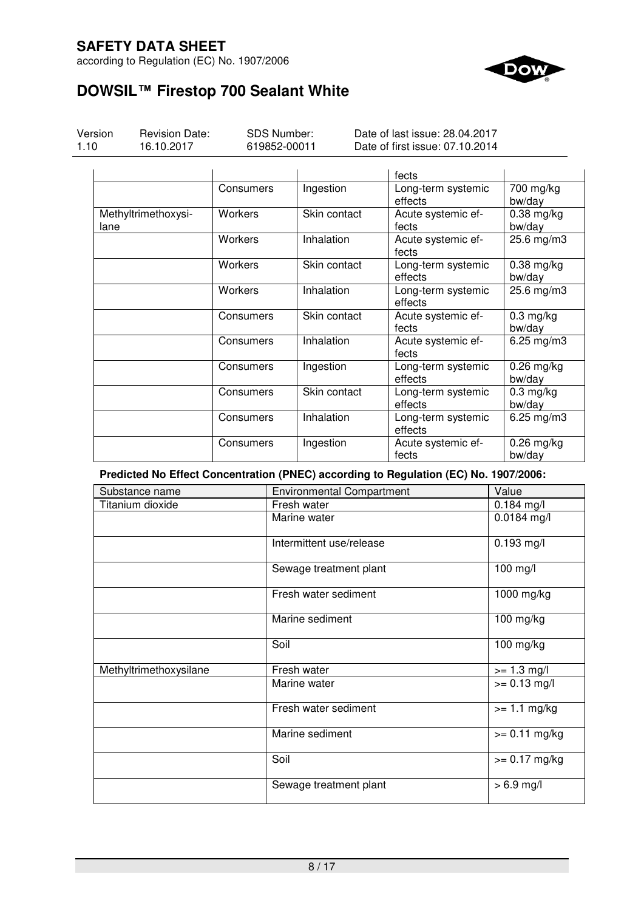according to Regulation (EC) No. 1907/2006



# **DOWSIL™ Firestop 700 Sealant White**

| Version<br>1.10 | <b>Revision Date:</b><br>16.10.2017 | SDS Number:<br>619852-00011 |              | Date of last issue: 28.04.2017<br>Date of first issue: 07.10.2014 |                        |
|-----------------|-------------------------------------|-----------------------------|--------------|-------------------------------------------------------------------|------------------------|
|                 |                                     |                             |              | fects                                                             |                        |
|                 |                                     | Consumers                   | Ingestion    | Long-term systemic<br>effects                                     | 700 mg/kg<br>bw/day    |
|                 | Methyltrimethoxysi-<br>lane         | <b>Workers</b>              | Skin contact | Acute systemic ef-<br>fects                                       | $0.38$ mg/kg<br>bw/day |
|                 |                                     | Workers                     | Inhalation   | Acute systemic ef-<br>fects                                       | 25.6 mg/m3             |
|                 |                                     | Workers                     | Skin contact | Long-term systemic<br>effects                                     | $0.38$ mg/kg<br>bw/day |
|                 |                                     | Workers                     | Inhalation   | Long-term systemic<br>effects                                     | 25.6 mg/m3             |
|                 |                                     | Consumers                   | Skin contact | Acute systemic ef-<br>fects                                       | $0.3$ mg/kg<br>bw/day  |
|                 |                                     | Consumers                   | Inhalation   | Acute systemic ef-<br>fects                                       | $6.25$ mg/m $3$        |
|                 |                                     | Consumers                   | Ingestion    | Long-term systemic<br>effects                                     | $0.26$ mg/kg<br>bw/day |
|                 |                                     | Consumers                   | Skin contact | Long-term systemic<br>effects                                     | $0.3$ mg/kg<br>bw/day  |
|                 |                                     | Consumers                   | Inhalation   | Long-term systemic<br>effects                                     | 6.25 mg/m3             |
|                 |                                     | Consumers                   | Ingestion    | Acute systemic ef-<br>fects                                       | $0.26$ mg/kg<br>bw/day |

**Predicted No Effect Concentration (PNEC) according to Regulation (EC) No. 1907/2006:** 

| Substance name         | <b>Environmental Compartment</b> | Value           |
|------------------------|----------------------------------|-----------------|
| Titanium dioxide       | Fresh water                      | $0.184$ mg/l    |
|                        | Marine water                     | $0.0184$ mg/l   |
|                        | Intermittent use/release         | $0.193$ mg/l    |
|                        | Sewage treatment plant           | 100 mg/l        |
|                        | Fresh water sediment             | 1000 mg/kg      |
|                        | Marine sediment                  | 100 mg/kg       |
|                        | Soil                             | $100$ mg/kg     |
| Methyltrimethoxysilane | Fresh water                      | $>= 1.3$ mg/l   |
|                        | Marine water                     | $>= 0.13$ mg/l  |
|                        | Fresh water sediment             | $>= 1.1$ mg/kg  |
|                        | Marine sediment                  | $>= 0.11$ mg/kg |
|                        | Soil                             | $>= 0.17$ mg/kg |
|                        | Sewage treatment plant           | $> 6.9$ mg/l    |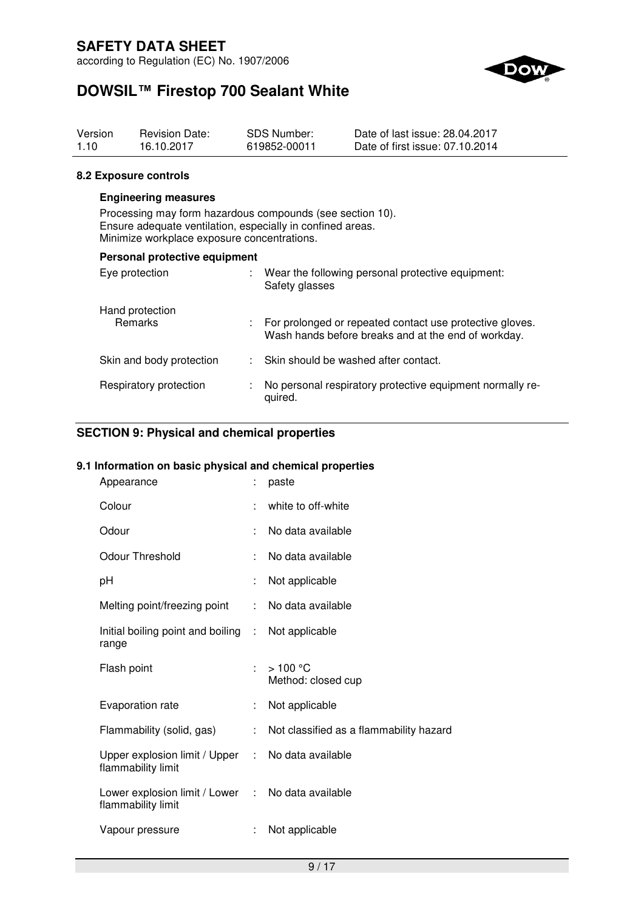according to Regulation (EC) No. 1907/2006



# **DOWSIL™ Firestop 700 Sealant White**

| Version | <b>Revision Date:</b> | SDS Number:  | Date of last issue: 28.04.2017  |
|---------|-----------------------|--------------|---------------------------------|
| 1.10    | 16.10.2017            | 619852-00011 | Date of first issue: 07.10.2014 |

### **8.2 Exposure controls**

### **Engineering measures**

Processing may form hazardous compounds (see section 10). Ensure adequate ventilation, especially in confined areas. Minimize workplace exposure concentrations.

| Personal protective equipment     |  |                                                                                                                 |  |  |
|-----------------------------------|--|-----------------------------------------------------------------------------------------------------------------|--|--|
| Eye protection                    |  | Wear the following personal protective equipment:<br>Safety glasses                                             |  |  |
| Hand protection<br><b>Remarks</b> |  | For prolonged or repeated contact use protective gloves.<br>Wash hands before breaks and at the end of workday. |  |  |
| Skin and body protection          |  | : Skin should be washed after contact.                                                                          |  |  |
| Respiratory protection            |  | No personal respiratory protective equipment normally re-<br>quired.                                            |  |  |

## **SECTION 9: Physical and chemical properties**

### **9.1 Information on basic physical and chemical properties**

| Appearance                                                              |    | paste                                   |
|-------------------------------------------------------------------------|----|-----------------------------------------|
| Colour                                                                  |    | white to off-white                      |
| Odour                                                                   | ÷. | No data available                       |
| <b>Odour Threshold</b>                                                  |    | No data available                       |
| рH                                                                      |    | Not applicable                          |
| Melting point/freezing point                                            | ÷. | No data available                       |
| Initial boiling point and boiling : Not applicable<br>range             |    |                                         |
| Flash point                                                             | ŧ. | >100 °C<br>Method: closed cup           |
| Evaporation rate                                                        |    | Not applicable                          |
| Flammability (solid, gas)                                               | ÷. | Not classified as a flammability hazard |
| Upper explosion limit / Upper : No data available<br>flammability limit |    |                                         |
| Lower explosion limit / Lower : No data available<br>flammability limit |    |                                         |
| Vapour pressure                                                         | ÷  | Not applicable                          |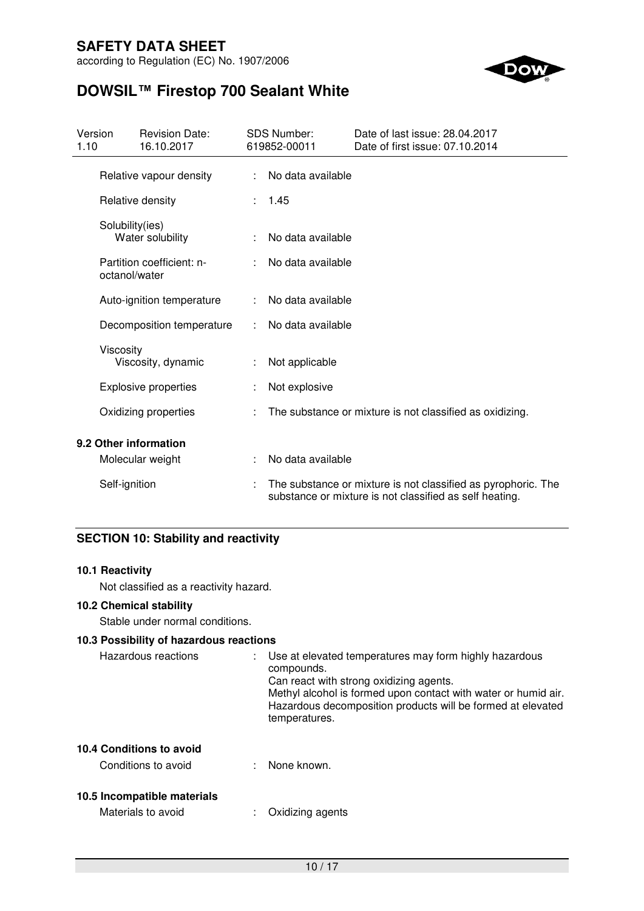according to Regulation (EC) No. 1907/2006



# **DOWSIL™ Firestop 700 Sealant White**

| Version<br>1.10 |                 | <b>Revision Date:</b><br>16.10.2017 |   | <b>SDS Number:</b><br>619852-00011 | Date of last issue: 28.04.2017<br>Date of first issue: 07.10.2014                                                        |
|-----------------|-----------------|-------------------------------------|---|------------------------------------|--------------------------------------------------------------------------------------------------------------------------|
|                 |                 | Relative vapour density             | ÷ | No data available                  |                                                                                                                          |
|                 |                 | Relative density                    |   | 1.45                               |                                                                                                                          |
|                 | Solubility(ies) | Water solubility                    |   | No data available                  |                                                                                                                          |
|                 | octanol/water   | Partition coefficient: n-           |   | No data available                  |                                                                                                                          |
|                 |                 | Auto-ignition temperature           |   | No data available                  |                                                                                                                          |
|                 |                 | Decomposition temperature           |   | No data available                  |                                                                                                                          |
|                 | Viscosity       | Viscosity, dynamic                  |   | Not applicable                     |                                                                                                                          |
|                 |                 | <b>Explosive properties</b>         |   | Not explosive                      |                                                                                                                          |
|                 |                 | Oxidizing properties                |   |                                    | The substance or mixture is not classified as oxidizing.                                                                 |
|                 |                 | 9.2 Other information               |   |                                    |                                                                                                                          |
|                 |                 | Molecular weight                    |   | No data available                  |                                                                                                                          |
|                 | Self-ignition   |                                     |   |                                    | The substance or mixture is not classified as pyrophoric. The<br>substance or mixture is not classified as self heating. |

## **SECTION 10: Stability and reactivity**

### **10.1 Reactivity**

Not classified as a reactivity hazard.

## **10.2 Chemical stability**

Stable under normal conditions.

#### **10.3 Possibility of hazardous reactions**

| Hazardous reactions | ÷. | Use at elevated temperatures may form highly hazardous<br>compounds.<br>Can react with strong oxidizing agents.<br>Methyl alcohol is formed upon contact with water or humid air.<br>Hazardous decomposition products will be formed at elevated<br>temperatures. |
|---------------------|----|-------------------------------------------------------------------------------------------------------------------------------------------------------------------------------------------------------------------------------------------------------------------|
|                     |    |                                                                                                                                                                                                                                                                   |

## **10.4 Conditions to avoid**

| Conditions to avoid | None known. |
|---------------------|-------------|
|---------------------|-------------|

## **10.5 Incompatible materials**

Materials to avoid : Oxidizing agents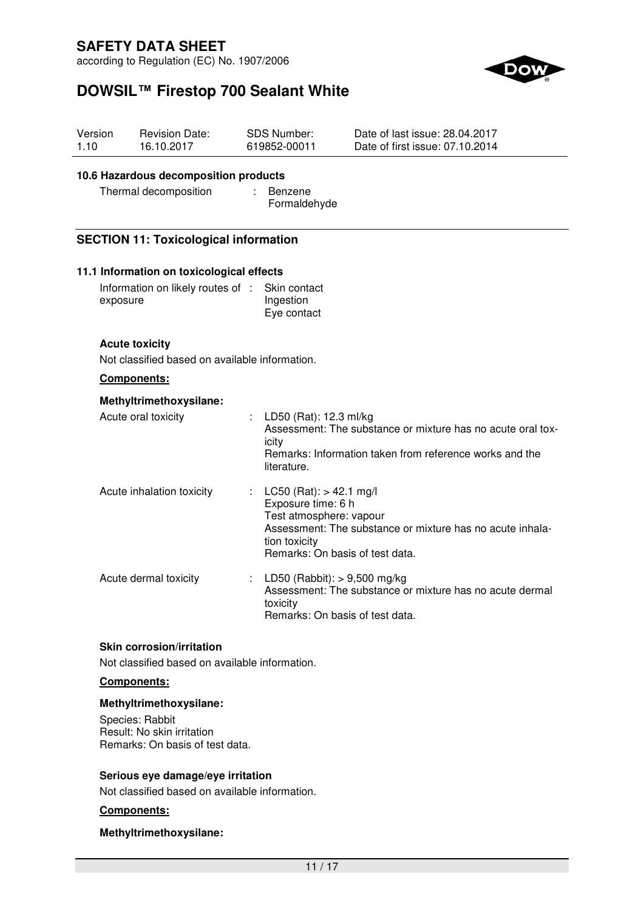according to Regulation (EC) No. 1907/2006



# **DOWSIL™ Firestop 700 Sealant White**

| Version<br>1.10                               | <b>Revision Date:</b><br>16.10.2017                                     | <b>SDS Number:</b><br>619852-00011                                                                                             | Date of last issue: 28.04.2017<br>Date of first issue: 07.10.2014                                                      |
|-----------------------------------------------|-------------------------------------------------------------------------|--------------------------------------------------------------------------------------------------------------------------------|------------------------------------------------------------------------------------------------------------------------|
|                                               | 10.6 Hazardous decomposition products<br>Thermal decomposition          | Benzene<br>Formaldehyde                                                                                                        |                                                                                                                        |
|                                               | <b>SECTION 11: Toxicological information</b>                            |                                                                                                                                |                                                                                                                        |
|                                               | 11.1 Information on toxicological effects                               |                                                                                                                                |                                                                                                                        |
|                                               | Information on likely routes of :<br>exposure                           | Skin contact<br>Ingestion<br>Eye contact                                                                                       |                                                                                                                        |
|                                               | <b>Acute toxicity</b><br>Not classified based on available information. |                                                                                                                                |                                                                                                                        |
| <b>Components:</b><br>Methyltrimethoxysilane: |                                                                         |                                                                                                                                |                                                                                                                        |
|                                               |                                                                         |                                                                                                                                |                                                                                                                        |
|                                               | Acute oral toxicity                                                     | LD50 (Rat): 12.3 ml/kg<br>icity<br>literature.                                                                                 | Assessment: The substance or mixture has no acute oral tox-<br>Remarks: Information taken from reference works and the |
|                                               | Acute inhalation toxicity                                               | LC50 (Rat): $> 42.1$ mg/l<br>Exposure time: 6 h<br>Test atmosphere: vapour<br>tion toxicity<br>Remarks: On basis of test data. | Assessment: The substance or mixture has no acute inhala-                                                              |
|                                               | Acute dermal toxicity                                                   | LD50 (Rabbit): $> 9,500$ mg/kg<br>toxicity<br>Remarks: On basis of test data.                                                  | Assessment: The substance or mixture has no acute dermal                                                               |

## **Skin corrosion/irritation**

Not classified based on available information.

## **Components:**

#### **Methyltrimethoxysilane:**

Species: Rabbit Result: No skin irritation Remarks: On basis of test data.

### **Serious eye damage/eye irritation**

Not classified based on available information.

## **Components:**

### **Methyltrimethoxysilane:**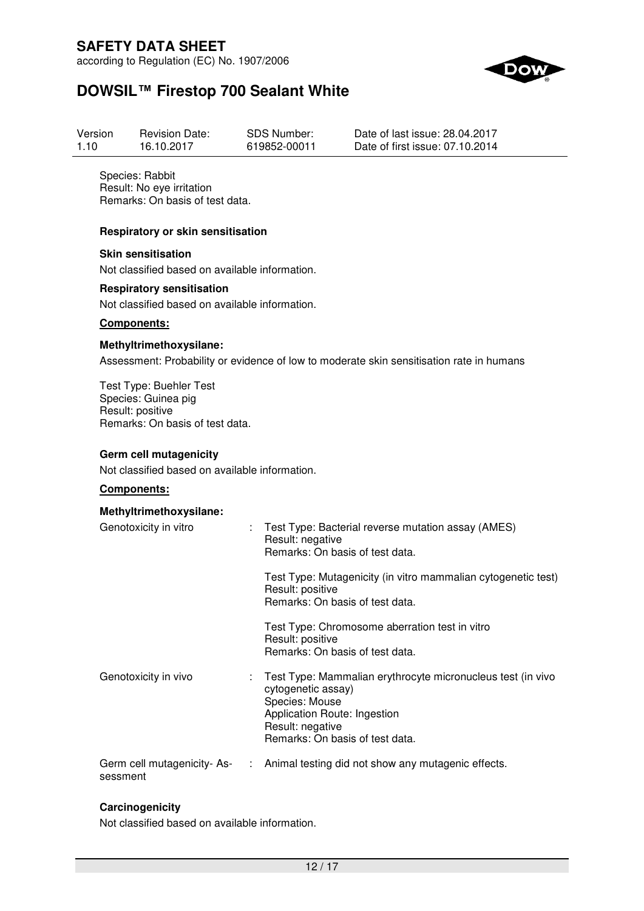according to Regulation (EC) No. 1907/2006



# **DOWSIL™ Firestop 700 Sealant White**

| Version | <b>Revision Date:</b> | SDS Number:  | Date of last issue: 28.04.2017  |
|---------|-----------------------|--------------|---------------------------------|
| 1.10    | 16.10.2017            | 619852-00011 | Date of first issue: 07.10.2014 |

Species: Rabbit Result: No eye irritation Remarks: On basis of test data.

### **Respiratory or skin sensitisation**

**Skin sensitisation**  Not classified based on available information.

#### **Respiratory sensitisation**

Not classified based on available information.

#### **Components:**

#### **Methyltrimethoxysilane:**

Assessment: Probability or evidence of low to moderate skin sensitisation rate in humans

Test Type: Buehler Test Species: Guinea pig Result: positive Remarks: On basis of test data.

### **Germ cell mutagenicity**

Not classified based on available information.

### **Components:**

| Methyltrimethoxysilane:                 |               |                                                                                                                                                                                            |
|-----------------------------------------|---------------|--------------------------------------------------------------------------------------------------------------------------------------------------------------------------------------------|
| Genotoxicity in vitro                   |               | : Test Type: Bacterial reverse mutation assay (AMES)<br>Result: negative<br>Remarks: On basis of test data.                                                                                |
|                                         |               | Test Type: Mutagenicity (in vitro mammalian cytogenetic test)<br>Result: positive<br>Remarks: On basis of test data.                                                                       |
|                                         |               | Test Type: Chromosome aberration test in vitro<br>Result: positive<br>Remarks: On basis of test data.                                                                                      |
| Genotoxicity in vivo                    |               | Test Type: Mammalian erythrocyte micronucleus test (in vivo<br>cytogenetic assay)<br>Species: Mouse<br>Application Route: Ingestion<br>Result: negative<br>Remarks: On basis of test data. |
| Germ cell mutagenicity- As-<br>sessment | $\mathcal{L}$ | Animal testing did not show any mutagenic effects.                                                                                                                                         |

### **Carcinogenicity**

Not classified based on available information.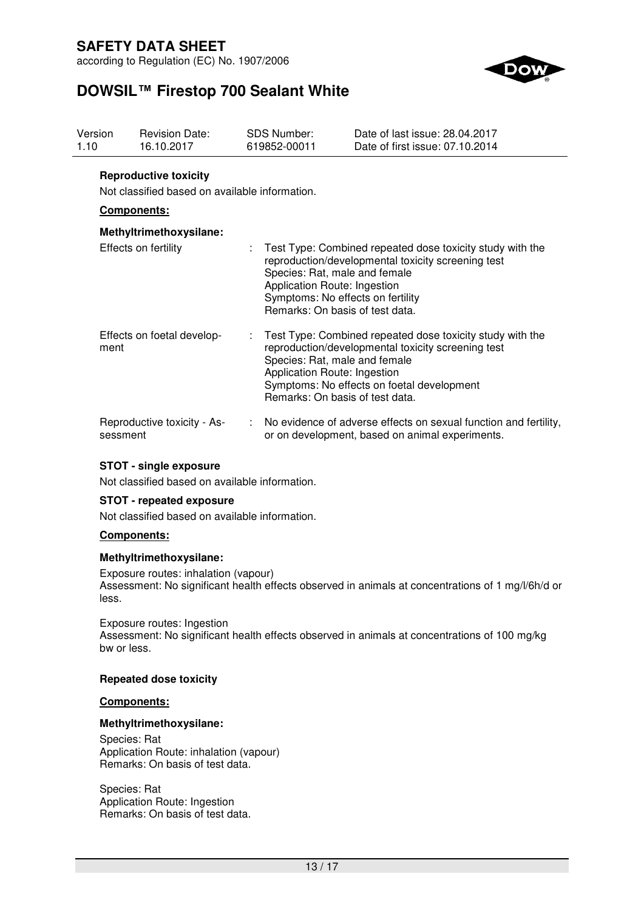according to Regulation (EC) No. 1907/2006



# **DOWSIL™ Firestop 700 Sealant White**

| Version<br>1.10 | <b>Revision Date:</b><br>16.10.2017                                            | <b>SDS Number:</b><br>619852-00011 | Date of last issue: 28.04.2017<br>Date of first issue: 07.10.2014                                                                                                                                                                 |
|-----------------|--------------------------------------------------------------------------------|------------------------------------|-----------------------------------------------------------------------------------------------------------------------------------------------------------------------------------------------------------------------------------|
|                 | <b>Reproductive toxicity</b><br>Not classified based on available information. |                                    |                                                                                                                                                                                                                                   |
|                 | Components:                                                                    |                                    |                                                                                                                                                                                                                                   |
|                 | Methyltrimethoxysilane:                                                        |                                    |                                                                                                                                                                                                                                   |
|                 | Effects on fertility                                                           | ÷.<br>Application Route: Ingestion | Test Type: Combined repeated dose toxicity study with the<br>reproduction/developmental toxicity screening test<br>Species: Rat, male and female<br>Symptoms: No effects on fertility<br>Remarks: On basis of test data.          |
| ment            | Effects on foetal develop-                                                     | ÷.<br>Application Route: Ingestion | Test Type: Combined repeated dose toxicity study with the<br>reproduction/developmental toxicity screening test<br>Species: Rat, male and female<br>Symptoms: No effects on foetal development<br>Remarks: On basis of test data. |
| sessment        | Reproductive toxicity - As-                                                    |                                    | No evidence of adverse effects on sexual function and fertility,<br>or on development, based on animal experiments.                                                                                                               |

### **STOT - single exposure**

Not classified based on available information.

### **STOT - repeated exposure**

Not classified based on available information.

### **Components:**

#### **Methyltrimethoxysilane:**

Exposure routes: inhalation (vapour) Assessment: No significant health effects observed in animals at concentrations of 1 mg/l/6h/d or less.

Exposure routes: Ingestion Assessment: No significant health effects observed in animals at concentrations of 100 mg/kg bw or less.

### **Repeated dose toxicity**

#### **Components:**

### **Methyltrimethoxysilane:**

Species: Rat Application Route: inhalation (vapour) Remarks: On basis of test data.

Species: Rat Application Route: Ingestion Remarks: On basis of test data.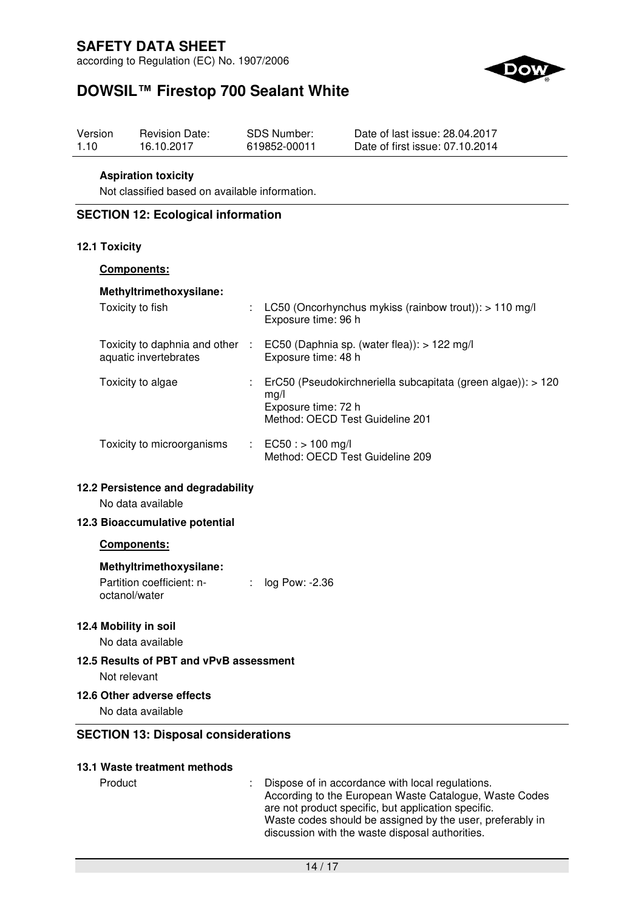according to Regulation (EC) No. 1907/2006



# **DOWSIL™ Firestop 700 Sealant White**

| Version | <b>Revision Date:</b> | SDS Number:  | Date of last issue: 28.04.2017  |
|---------|-----------------------|--------------|---------------------------------|
| 1.10    | 16.10.2017            | 619852-00011 | Date of first issue: 07.10.2014 |

### **Aspiration toxicity**

Not classified based on available information.

### **SECTION 12: Ecological information**

### **12.1 Toxicity**

## **Components:**

| Methyltrimethoxysilane:                                |                           |                                                                                                                                |
|--------------------------------------------------------|---------------------------|--------------------------------------------------------------------------------------------------------------------------------|
| Toxicity to fish                                       | $\mathbb{Z}^{\mathbb{Z}}$ | LC50 (Oncorhynchus mykiss (rainbow trout)): $> 110$ mg/l<br>Exposure time: 96 h                                                |
| Toxicity to daphnia and other<br>aquatic invertebrates | ÷                         | EC50 (Daphnia sp. (water flea)): $> 122$ mg/l<br>Exposure time: 48 h                                                           |
| Toxicity to algae                                      |                           | ErC50 (Pseudokirchneriella subcapitata (green algae)): > 120<br>mq/l<br>Exposure time: 72 h<br>Method: OECD Test Guideline 201 |
| Toxicity to microorganisms                             |                           | : $EC50: > 100$ mg/l<br>Method: OECD Test Guideline 209                                                                        |

### **12.2 Persistence and degradability**

No data available

### **12.3 Bioaccumulative potential**

### **Components:**

### **Methyltrimethoxysilane:**

Partition coefficient: noctanol/water : log Pow: -2.36

### **12.4 Mobility in soil**

No data available

#### **12.5 Results of PBT and vPvB assessment**

Not relevant

### **12.6 Other adverse effects**

No data available

### **SECTION 13: Disposal considerations**

### **13.1 Waste treatment methods**

Product : Dispose of in accordance with local regulations. According to the European Waste Catalogue, Waste Codes are not product specific, but application specific. Waste codes should be assigned by the user, preferably in discussion with the waste disposal authorities.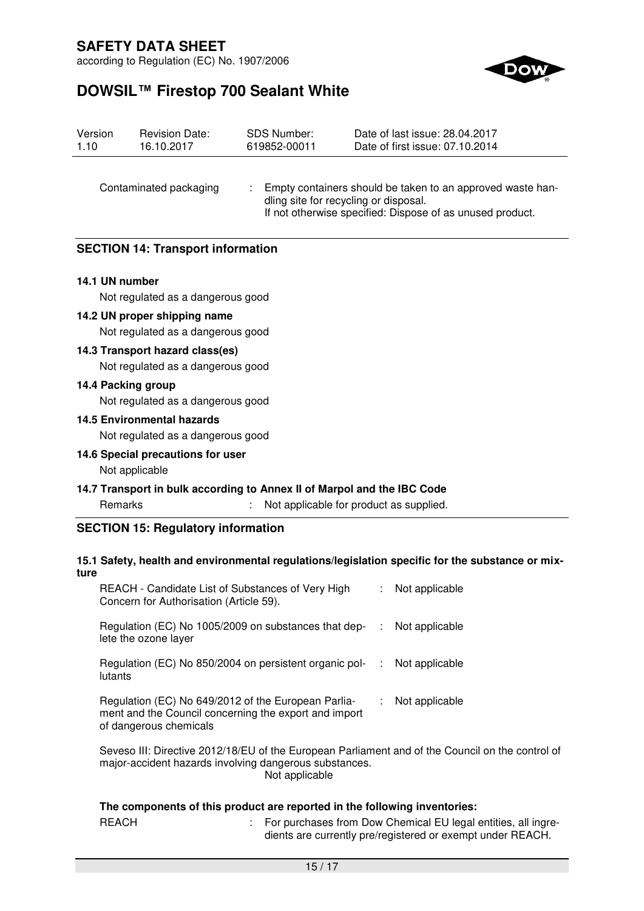according to Regulation (EC) No. 1907/2006



# **DOWSIL™ Firestop 700 Sealant White**

| Version<br>1.10        | <b>Revision Date:</b><br>16.10.2017      | <b>SDS Number:</b><br>619852-00011 | Date of last issue: 28.04.2017<br>Date of first issue: 07.10.2014                                                                                                |
|------------------------|------------------------------------------|------------------------------------|------------------------------------------------------------------------------------------------------------------------------------------------------------------|
| Contaminated packaging |                                          |                                    | Empty containers should be taken to an approved waste han-<br>dling site for recycling or disposal.<br>If not otherwise specified: Dispose of as unused product. |
|                        | <b>SECTION 14: Transport information</b> |                                    |                                                                                                                                                                  |
| 14.1 UN number         |                                          |                                    |                                                                                                                                                                  |
|                        | Not regulated as a dangerous good        |                                    |                                                                                                                                                                  |
|                        | 14.2 UN proper shipping name             |                                    |                                                                                                                                                                  |
|                        | Not regulated as a dangerous good        |                                    |                                                                                                                                                                  |
|                        | 14.3 Transport hazard class(es)          |                                    |                                                                                                                                                                  |
|                        | Not regulated as a dangerous good        |                                    |                                                                                                                                                                  |
|                        | 14.4 Packing group                       |                                    |                                                                                                                                                                  |
|                        | Not regulated as a dangerous good        |                                    |                                                                                                                                                                  |
|                        | <b>14.5 Environmental hazards</b>        |                                    |                                                                                                                                                                  |
|                        | Not regulated as a dangerous good        |                                    |                                                                                                                                                                  |
|                        | 14.6 Special precautions for user        |                                    |                                                                                                                                                                  |
|                        | Not applicable                           |                                    |                                                                                                                                                                  |
|                        |                                          |                                    | 14.7 Transport in bulk according to Annex II of Marpol and the IBC Code                                                                                          |
|                        | Remarks                                  |                                    | Not applicable for product as supplied.                                                                                                                          |

#### **15.1 Safety, health and environmental regulations/legislation specific for the substance or mixture**

| REACH - Candidate List of Substances of Very High<br>Concern for Authorisation (Article 59).                                           |    | : Not applicable |
|----------------------------------------------------------------------------------------------------------------------------------------|----|------------------|
| Regulation (EC) No 1005/2009 on substances that dep-<br>lete the ozone layer                                                           | ÷. | Not applicable   |
| Regulation (EC) No 850/2004 on persistent organic pol-<br>lutants                                                                      |    | : Not applicable |
| Regulation (EC) No 649/2012 of the European Parlia-<br>ment and the Council concerning the export and import<br>of dangerous chemicals |    | : Not applicable |
|                                                                                                                                        |    |                  |

Seveso III: Directive 2012/18/EU of the European Parliament and of the Council on the control of major-accident hazards involving dangerous substances. Not applicable

### **The components of this product are reported in the following inventories:**

| <b>REACH</b> | For purchases fr  |
|--------------|-------------------|
|              | dients are currer |

om Dow Chemical EU legal entities, all ingreently pre/registered or exempt under REACH.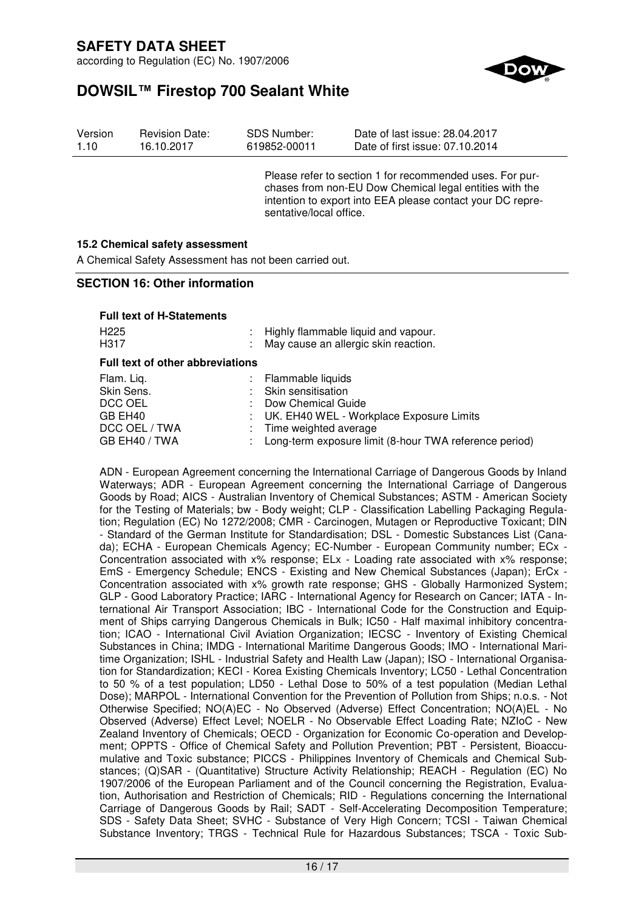according to Regulation (EC) No. 1907/2006



# **DOWSIL™ Firestop 700 Sealant White**

| Version | <b>Revision Date:</b> | SDS Number:  | Date of last issue: 28.04.2017  |
|---------|-----------------------|--------------|---------------------------------|
| 1.10    | 16.10.2017            | 619852-00011 | Date of first issue: 07.10.2014 |

Please refer to section 1 for recommended uses. For purchases from non-EU Dow Chemical legal entities with the intention to export into EEA please contact your DC representative/local office.

### **15.2 Chemical safety assessment**

A Chemical Safety Assessment has not been carried out.

### **SECTION 16: Other information**

|                                         | : Highly flammable liquid and vapour.<br>May cause an allergic skin reaction. |  |  |
|-----------------------------------------|-------------------------------------------------------------------------------|--|--|
| <b>Full text of other abbreviations</b> |                                                                               |  |  |
|                                         | Flammable liquids                                                             |  |  |
|                                         | Skin sensitisation                                                            |  |  |
|                                         | Dow Chemical Guide                                                            |  |  |
|                                         | UK. EH40 WEL - Workplace Exposure Limits                                      |  |  |
|                                         | : Time weighted average                                                       |  |  |
|                                         | Long-term exposure limit (8-hour TWA reference period)                        |  |  |
|                                         |                                                                               |  |  |

ADN - European Agreement concerning the International Carriage of Dangerous Goods by Inland Waterways; ADR - European Agreement concerning the International Carriage of Dangerous Goods by Road; AICS - Australian Inventory of Chemical Substances; ASTM - American Society for the Testing of Materials; bw - Body weight; CLP - Classification Labelling Packaging Regulation; Regulation (EC) No 1272/2008; CMR - Carcinogen, Mutagen or Reproductive Toxicant; DIN - Standard of the German Institute for Standardisation; DSL - Domestic Substances List (Canada); ECHA - European Chemicals Agency; EC-Number - European Community number; ECx - Concentration associated with x% response; ELx - Loading rate associated with x% response; EmS - Emergency Schedule; ENCS - Existing and New Chemical Substances (Japan); ErCx - Concentration associated with x% growth rate response; GHS - Globally Harmonized System; GLP - Good Laboratory Practice; IARC - International Agency for Research on Cancer; IATA - International Air Transport Association; IBC - International Code for the Construction and Equipment of Ships carrying Dangerous Chemicals in Bulk; IC50 - Half maximal inhibitory concentration; ICAO - International Civil Aviation Organization; IECSC - Inventory of Existing Chemical Substances in China; IMDG - International Maritime Dangerous Goods; IMO - International Maritime Organization; ISHL - Industrial Safety and Health Law (Japan); ISO - International Organisation for Standardization; KECI - Korea Existing Chemicals Inventory; LC50 - Lethal Concentration to 50 % of a test population; LD50 - Lethal Dose to 50% of a test population (Median Lethal Dose); MARPOL - International Convention for the Prevention of Pollution from Ships; n.o.s. - Not Otherwise Specified; NO(A)EC - No Observed (Adverse) Effect Concentration; NO(A)EL - No Observed (Adverse) Effect Level; NOELR - No Observable Effect Loading Rate; NZIoC - New Zealand Inventory of Chemicals; OECD - Organization for Economic Co-operation and Development; OPPTS - Office of Chemical Safety and Pollution Prevention; PBT - Persistent, Bioaccumulative and Toxic substance; PICCS - Philippines Inventory of Chemicals and Chemical Substances; (Q)SAR - (Quantitative) Structure Activity Relationship; REACH - Regulation (EC) No 1907/2006 of the European Parliament and of the Council concerning the Registration, Evaluation, Authorisation and Restriction of Chemicals; RID - Regulations concerning the International Carriage of Dangerous Goods by Rail; SADT - Self-Accelerating Decomposition Temperature; SDS - Safety Data Sheet; SVHC - Substance of Very High Concern; TCSI - Taiwan Chemical Substance Inventory; TRGS - Technical Rule for Hazardous Substances; TSCA - Toxic Sub-